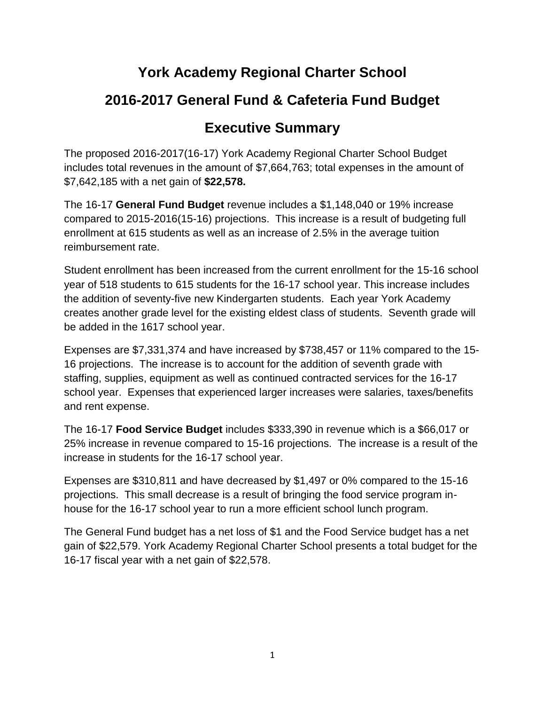## **York Academy Regional Charter School**

## **2016-2017 General Fund & Cafeteria Fund Budget**

## **Executive Summary**

The proposed 2016-2017(16-17) York Academy Regional Charter School Budget includes total revenues in the amount of \$7,664,763; total expenses in the amount of \$7,642,185 with a net gain of **\$22,578.**

The 16-17 **General Fund Budget** revenue includes a \$1,148,040 or 19% increase compared to 2015-2016(15-16) projections. This increase is a result of budgeting full enrollment at 615 students as well as an increase of 2.5% in the average tuition reimbursement rate.

Student enrollment has been increased from the current enrollment for the 15-16 school year of 518 students to 615 students for the 16-17 school year. This increase includes the addition of seventy-five new Kindergarten students. Each year York Academy creates another grade level for the existing eldest class of students. Seventh grade will be added in the 1617 school year.

Expenses are \$7,331,374 and have increased by \$738,457 or 11% compared to the 15- 16 projections. The increase is to account for the addition of seventh grade with staffing, supplies, equipment as well as continued contracted services for the 16-17 school year. Expenses that experienced larger increases were salaries, taxes/benefits and rent expense.

The 16-17 **Food Service Budget** includes \$333,390 in revenue which is a \$66,017 or 25% increase in revenue compared to 15-16 projections. The increase is a result of the increase in students for the 16-17 school year.

Expenses are \$310,811 and have decreased by \$1,497 or 0% compared to the 15-16 projections. This small decrease is a result of bringing the food service program inhouse for the 16-17 school year to run a more efficient school lunch program.

The General Fund budget has a net loss of \$1 and the Food Service budget has a net gain of \$22,579. York Academy Regional Charter School presents a total budget for the 16-17 fiscal year with a net gain of \$22,578.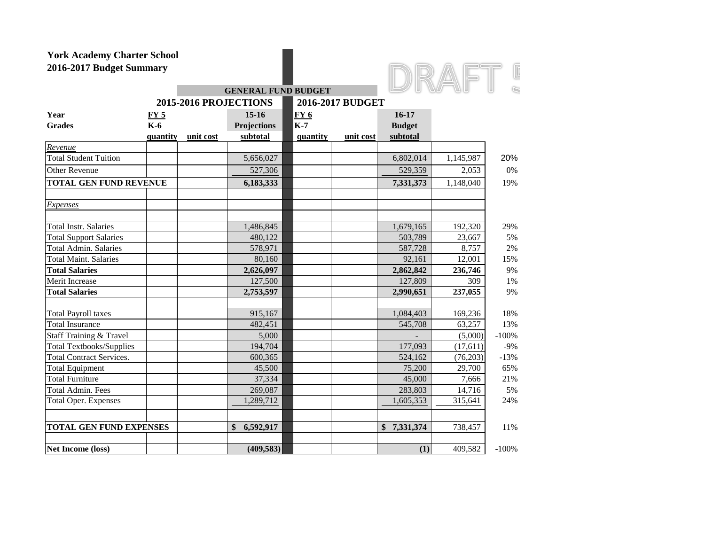

|                                 |             |           | <b>GENERAL FUND BUDGET</b> |            |                  | <b>SALES AND</b> | $\sqrt{n}$ | U       |
|---------------------------------|-------------|-----------|----------------------------|------------|------------------|------------------|------------|---------|
|                                 |             |           | 2015-2016 PROJECTIONS      |            | 2016-2017 BUDGET |                  |            |         |
| Year                            | <u>FY 5</u> |           | $15-16$                    | <b>FY6</b> |                  | $16 - 17$        |            |         |
| <b>Grades</b>                   | <b>K-6</b>  |           | <b>Projections</b>         | $K-7$      |                  | <b>Budget</b>    |            |         |
|                                 | quantity    | unit cost | subtotal                   | quantity   | unit cost        | subtotal         |            |         |
| Revenue                         |             |           |                            |            |                  |                  |            |         |
| <b>Total Student Tuition</b>    |             |           | 5,656,027                  |            |                  | 6,802,014        | 1,145,987  | 20%     |
| <b>Other Revenue</b>            |             |           | 527,306                    |            |                  | 529,359          | 2,053      | 0%      |
| <b>TOTAL GEN FUND REVENUE</b>   |             |           | 6,183,333                  |            |                  | 7,331,373        | 1,148,040  | 19%     |
| <b>Expenses</b>                 |             |           |                            |            |                  |                  |            |         |
| <b>Total Instr. Salaries</b>    |             |           | 1,486,845                  |            |                  | 1,679,165        | 192,320    | 29%     |
| <b>Total Support Salaries</b>   |             |           | 480,122                    |            |                  | 503,789          | 23,667     | 5%      |
| <b>Total Admin. Salaries</b>    |             |           | 578,971                    |            |                  | 587,728          | 8,757      | 2%      |
| <b>Total Maint. Salaries</b>    |             |           | 80,160                     |            |                  | 92,161           | 12,001     | 15%     |
| <b>Total Salaries</b>           |             |           | 2,626,097                  |            |                  | 2,862,842        | 236,746    | 9%      |
| Merit Increase                  |             |           | 127,500                    |            |                  | 127,809          | 309        | 1%      |
| <b>Total Salaries</b>           |             |           | 2,753,597                  |            |                  | 2,990,651        | 237,055    | 9%      |
| <b>Total Payroll taxes</b>      |             |           | 915,167                    |            |                  | 1,084,403        | 169,236    | 18%     |
| <b>Total Insurance</b>          |             |           | 482,451                    |            |                  | 545,708          | 63,257     | 13%     |
| Staff Training & Travel         |             |           | 5,000                      |            |                  |                  | (5,000)    | $-100%$ |
| <b>Total Textbooks/Supplies</b> |             |           | 194,704                    |            |                  | 177,093          | (17, 611)  | $-9%$   |
| <b>Total Contract Services.</b> |             |           | 600,365                    |            |                  | 524,162          | (76, 203)  | $-13%$  |
| <b>Total Equipment</b>          |             |           | 45,500                     |            |                  | 75,200           | 29.700     | 65%     |
| <b>Total Furniture</b>          |             |           | 37,334                     |            |                  | 45,000           | 7,666      | 21%     |
| <b>Total Admin. Fees</b>        |             |           | 269,087                    |            |                  | 283,803          | 14,716     | 5%      |
| <b>Total Oper. Expenses</b>     |             |           | 1,289,712                  |            |                  | 1,605,353        | 315,641    | 24%     |
| <b>TOTAL GEN FUND EXPENSES</b>  |             |           | \$<br>6,592,917            |            |                  | \$<br>7,331,374  | 738,457    | 11%     |
| <b>Net Income (loss)</b>        |             |           | (409, 583)                 |            |                  | (1)              | 409,582    | $-100%$ |